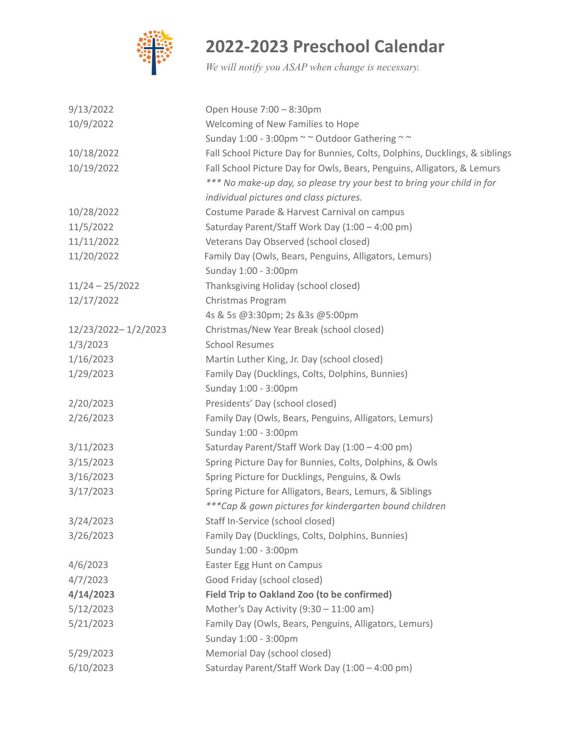

## **2022-2023 Preschool Calendar**

*We will notify you ASAP when change is necessary.*

| 9/13/2022           | Open House 7:00 - 8:30pm                                                    |
|---------------------|-----------------------------------------------------------------------------|
| 10/9/2022           | Welcoming of New Families to Hope                                           |
|                     | Sunday 1:00 - 3:00pm ~~ Outdoor Gathering ~~                                |
| 10/18/2022          | Fall School Picture Day for Bunnies, Colts, Dolphins, Ducklings, & siblings |
| 10/19/2022          | Fall School Picture Day for Owls, Bears, Penguins, Alligators, & Lemurs     |
|                     | *** No make-up day, so please try your best to bring your child in for      |
|                     | individual pictures and class pictures.                                     |
| 10/28/2022          | Costume Parade & Harvest Carnival on campus                                 |
| 11/5/2022           | Saturday Parent/Staff Work Day (1:00 - 4:00 pm)                             |
| 11/11/2022          | Veterans Day Observed (school closed)                                       |
| 11/20/2022          | Family Day (Owls, Bears, Penguins, Alligators, Lemurs)                      |
|                     | Sunday 1:00 - 3:00pm                                                        |
| $11/24 - 25/2022$   | Thanksgiving Holiday (school closed)                                        |
| 12/17/2022          | Christmas Program                                                           |
|                     | 4s & 5s @3:30pm; 2s &3s @5:00pm                                             |
| 12/23/2022-1/2/2023 | Christmas/New Year Break (school closed)                                    |
| 1/3/2023            | <b>School Resumes</b>                                                       |
| 1/16/2023           | Martin Luther King, Jr. Day (school closed)                                 |
| 1/29/2023           | Family Day (Ducklings, Colts, Dolphins, Bunnies)                            |
|                     | Sunday 1:00 - 3:00pm                                                        |
| 2/20/2023           | Presidents' Day (school closed)                                             |
| 2/26/2023           | Family Day (Owls, Bears, Penguins, Alligators, Lemurs)                      |
|                     | Sunday 1:00 - 3:00pm                                                        |
| 3/11/2023           | Saturday Parent/Staff Work Day (1:00 - 4:00 pm)                             |
| 3/15/2023           | Spring Picture Day for Bunnies, Colts, Dolphins, & Owls                     |
| 3/16/2023           | Spring Picture for Ducklings, Penguins, & Owls                              |
| 3/17/2023           | Spring Picture for Alligators, Bears, Lemurs, & Siblings                    |
|                     | *** Cap & gown pictures for kindergarten bound children                     |
| 3/24/2023           | Staff In-Service (school closed)                                            |
| 3/26/2023           | Family Day (Ducklings, Colts, Dolphins, Bunnies)                            |
|                     | Sunday 1:00 - 3:00pm                                                        |
| 4/6/2023            | Easter Egg Hunt on Campus                                                   |
| 4/7/2023            | Good Friday (school closed)                                                 |
| 4/14/2023           | Field Trip to Oakland Zoo (to be confirmed)                                 |
| 5/12/2023           | Mother's Day Activity $(9:30 - 11:00 \text{ am})$                           |
| 5/21/2023           | Family Day (Owls, Bears, Penguins, Alligators, Lemurs)                      |
|                     | Sunday 1:00 - 3:00pm                                                        |
| 5/29/2023           | Memorial Day (school closed)                                                |
| 6/10/2023           | Saturday Parent/Staff Work Day (1:00 - 4:00 pm)                             |